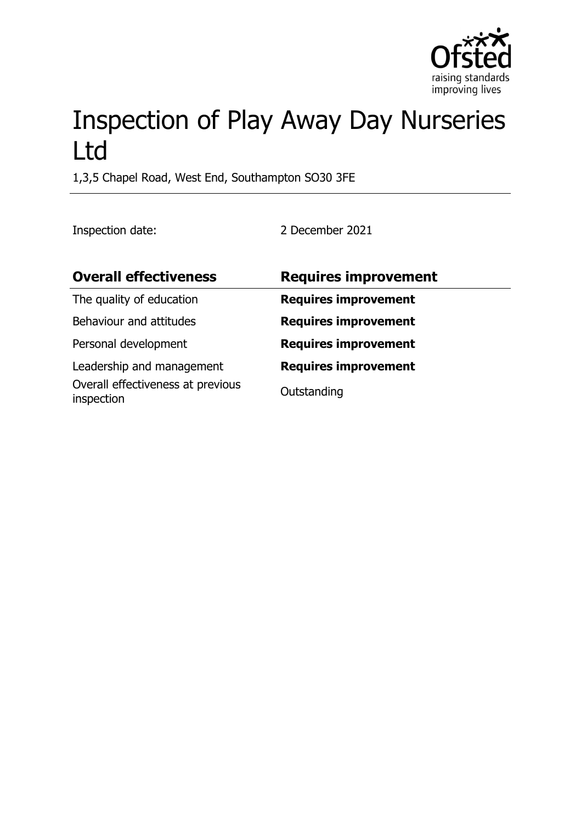

# Inspection of Play Away Day Nurseries Ltd

1,3,5 Chapel Road, West End, Southampton SO30 3FE

Inspection date: 2 December 2021

| <b>Overall effectiveness</b>                    | <b>Requires improvement</b> |
|-------------------------------------------------|-----------------------------|
| The quality of education                        | <b>Requires improvement</b> |
| Behaviour and attitudes                         | <b>Requires improvement</b> |
| Personal development                            | <b>Requires improvement</b> |
| Leadership and management                       | <b>Requires improvement</b> |
| Overall effectiveness at previous<br>inspection | Outstanding                 |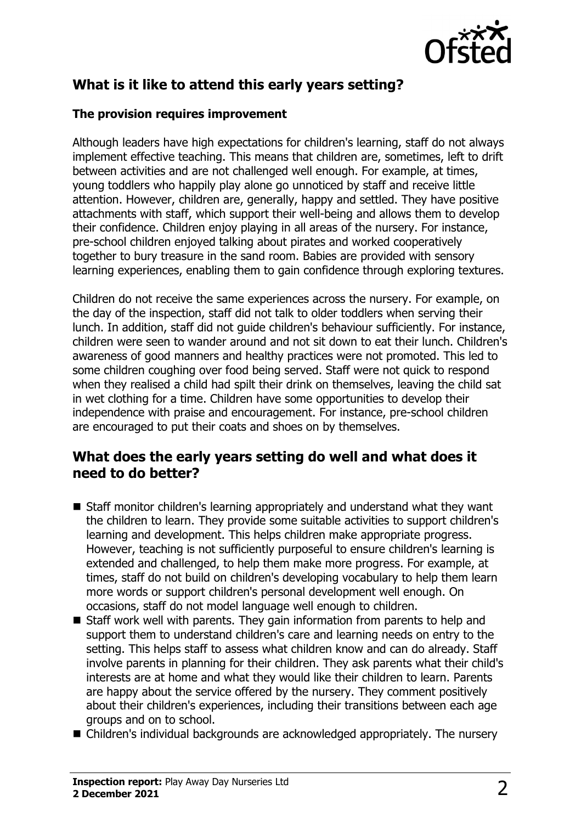

## **What is it like to attend this early years setting?**

#### **The provision requires improvement**

Although leaders have high expectations for children's learning, staff do not always implement effective teaching. This means that children are, sometimes, left to drift between activities and are not challenged well enough. For example, at times, young toddlers who happily play alone go unnoticed by staff and receive little attention. However, children are, generally, happy and settled. They have positive attachments with staff, which support their well-being and allows them to develop their confidence. Children enjoy playing in all areas of the nursery. For instance, pre-school children enjoyed talking about pirates and worked cooperatively together to bury treasure in the sand room. Babies are provided with sensory learning experiences, enabling them to gain confidence through exploring textures.

Children do not receive the same experiences across the nursery. For example, on the day of the inspection, staff did not talk to older toddlers when serving their lunch. In addition, staff did not guide children's behaviour sufficiently. For instance, children were seen to wander around and not sit down to eat their lunch. Children's awareness of good manners and healthy practices were not promoted. This led to some children coughing over food being served. Staff were not quick to respond when they realised a child had spilt their drink on themselves, leaving the child sat in wet clothing for a time. Children have some opportunities to develop their independence with praise and encouragement. For instance, pre-school children are encouraged to put their coats and shoes on by themselves.

### **What does the early years setting do well and what does it need to do better?**

- Staff monitor children's learning appropriately and understand what they want the children to learn. They provide some suitable activities to support children's learning and development. This helps children make appropriate progress. However, teaching is not sufficiently purposeful to ensure children's learning is extended and challenged, to help them make more progress. For example, at times, staff do not build on children's developing vocabulary to help them learn more words or support children's personal development well enough. On occasions, staff do not model language well enough to children.
- $\blacksquare$  Staff work well with parents. They gain information from parents to help and support them to understand children's care and learning needs on entry to the setting. This helps staff to assess what children know and can do already. Staff involve parents in planning for their children. They ask parents what their child's interests are at home and what they would like their children to learn. Parents are happy about the service offered by the nursery. They comment positively about their children's experiences, including their transitions between each age groups and on to school.
- Children's individual backgrounds are acknowledged appropriately. The nursery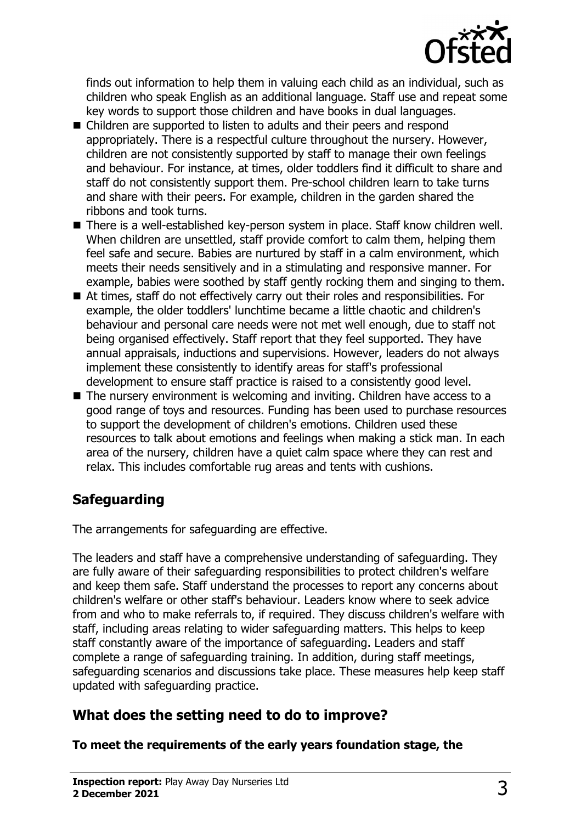

finds out information to help them in valuing each child as an individual, such as children who speak English as an additional language. Staff use and repeat some key words to support those children and have books in dual languages.

- $\blacksquare$  Children are supported to listen to adults and their peers and respond appropriately. There is a respectful culture throughout the nursery. However, children are not consistently supported by staff to manage their own feelings and behaviour. For instance, at times, older toddlers find it difficult to share and staff do not consistently support them. Pre-school children learn to take turns and share with their peers. For example, children in the garden shared the ribbons and took turns.
- There is a well-established key-person system in place. Staff know children well. When children are unsettled, staff provide comfort to calm them, helping them feel safe and secure. Babies are nurtured by staff in a calm environment, which meets their needs sensitively and in a stimulating and responsive manner. For example, babies were soothed by staff gently rocking them and singing to them.
- $\blacksquare$  At times, staff do not effectively carry out their roles and responsibilities. For example, the older toddlers' lunchtime became a little chaotic and children's behaviour and personal care needs were not met well enough, due to staff not being organised effectively. Staff report that they feel supported. They have annual appraisals, inductions and supervisions. However, leaders do not always implement these consistently to identify areas for staff's professional development to ensure staff practice is raised to a consistently good level.
- $\blacksquare$  The nursery environment is welcoming and inviting. Children have access to a good range of toys and resources. Funding has been used to purchase resources to support the development of children's emotions. Children used these resources to talk about emotions and feelings when making a stick man. In each area of the nursery, children have a quiet calm space where they can rest and relax. This includes comfortable rug areas and tents with cushions.

# **Safeguarding**

The arrangements for safeguarding are effective.

The leaders and staff have a comprehensive understanding of safeguarding. They are fully aware of their safeguarding responsibilities to protect children's welfare and keep them safe. Staff understand the processes to report any concerns about children's welfare or other staff's behaviour. Leaders know where to seek advice from and who to make referrals to, if required. They discuss children's welfare with staff, including areas relating to wider safeguarding matters. This helps to keep staff constantly aware of the importance of safeguarding. Leaders and staff complete a range of safeguarding training. In addition, during staff meetings, safeguarding scenarios and discussions take place. These measures help keep staff updated with safeguarding practice.

# **What does the setting need to do to improve?**

**To meet the requirements of the early years foundation stage, the**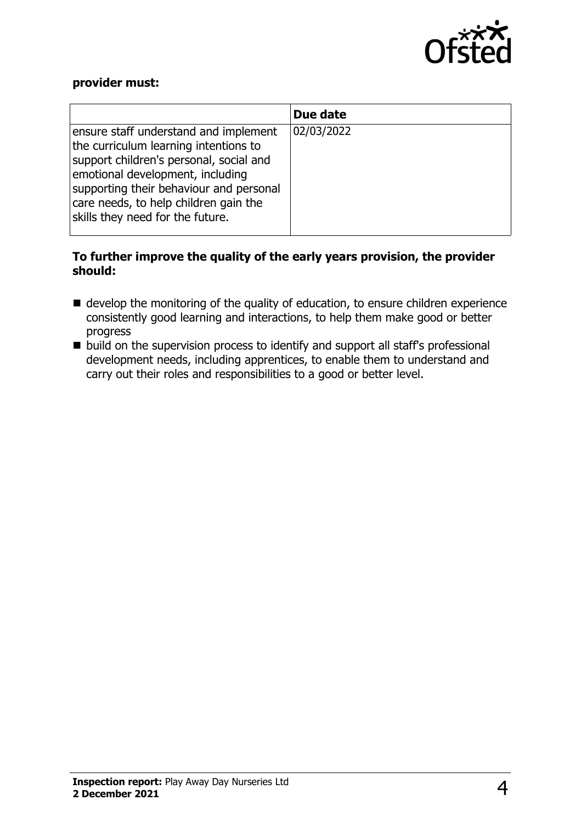

#### **provider must:**

|                                                                                                                                                                                                                                                                                       | Due date   |
|---------------------------------------------------------------------------------------------------------------------------------------------------------------------------------------------------------------------------------------------------------------------------------------|------------|
| ensure staff understand and implement<br>the curriculum learning intentions to<br>support children's personal, social and<br>emotional development, including<br>supporting their behaviour and personal<br>care needs, to help children gain the<br>skills they need for the future. | 02/03/2022 |

#### **To further improve the quality of the early years provision, the provider should:**

- $\blacksquare$  develop the monitoring of the quality of education, to ensure children experience consistently good learning and interactions, to help them make good or better progress
- $\blacksquare$  build on the supervision process to identify and support all staff's professional development needs, including apprentices, to enable them to understand and carry out their roles and responsibilities to a good or better level.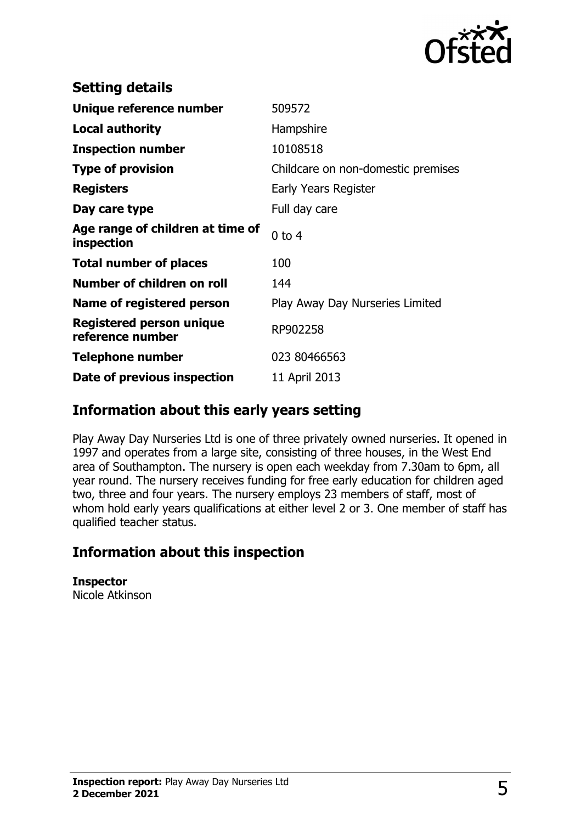

| <b>Setting details</b>                              |                                    |
|-----------------------------------------------------|------------------------------------|
| Unique reference number                             | 509572                             |
| <b>Local authority</b>                              | Hampshire                          |
| <b>Inspection number</b>                            | 10108518                           |
| <b>Type of provision</b>                            | Childcare on non-domestic premises |
| <b>Registers</b>                                    | Early Years Register               |
| Day care type                                       | Full day care                      |
| Age range of children at time of<br>inspection      | $0$ to $4$                         |
| <b>Total number of places</b>                       | 100                                |
| Number of children on roll                          | 144                                |
| Name of registered person                           | Play Away Day Nurseries Limited    |
| <b>Registered person unique</b><br>reference number | RP902258                           |
| <b>Telephone number</b>                             | 023 80466563                       |
| Date of previous inspection                         | 11 April 2013                      |

## **Information about this early years setting**

Play Away Day Nurseries Ltd is one of three privately owned nurseries. It opened in 1997 and operates from a large site, consisting of three houses, in the West End area of Southampton. The nursery is open each weekday from 7.30am to 6pm, all year round. The nursery receives funding for free early education for children aged two, three and four years. The nursery employs 23 members of staff, most of whom hold early years qualifications at either level 2 or 3. One member of staff has qualified teacher status.

## **Information about this inspection**

**Inspector** Nicole Atkinson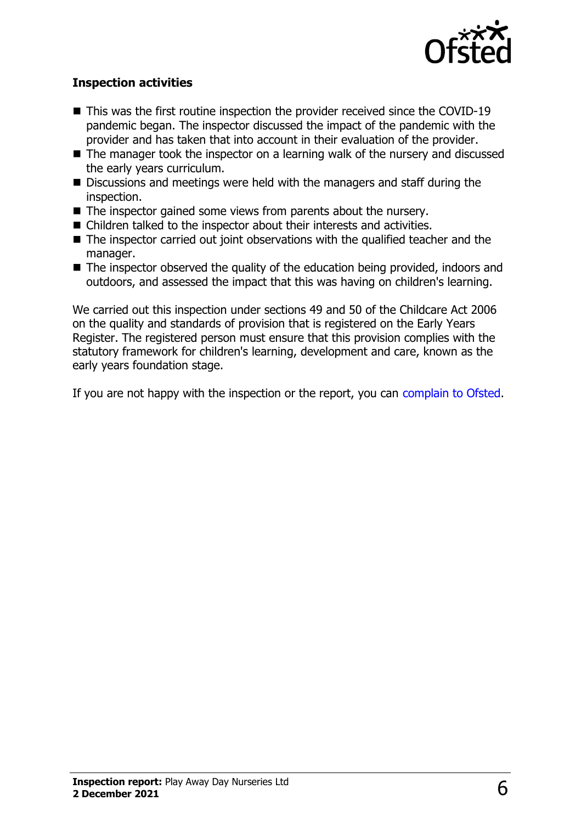

#### **Inspection activities**

- $\blacksquare$  This was the first routine inspection the provider received since the COVID-19 pandemic began. The inspector discussed the impact of the pandemic with the provider and has taken that into account in their evaluation of the provider.
- $\blacksquare$  The manager took the inspector on a learning walk of the nursery and discussed the early years curriculum.
- $\blacksquare$  Discussions and meetings were held with the managers and staff during the inspection.
- $\blacksquare$  The inspector gained some views from parents about the nursery.
- Children talked to the inspector about their interests and activities.
- $\blacksquare$  The inspector carried out joint observations with the qualified teacher and the manager.
- $\blacksquare$  The inspector observed the quality of the education being provided, indoors and outdoors, and assessed the impact that this was having on children's learning.

We carried out this inspection under sections 49 and 50 of the Childcare Act 2006 on the quality and standards of provision that is registered on the Early Years Register. The registered person must ensure that this provision complies with the statutory framework for children's learning, development and care, known as the early years foundation stage.

If you are not happy with the inspection or the report, you can [complain to Ofsted](http://www.gov.uk/complain-ofsted-report).